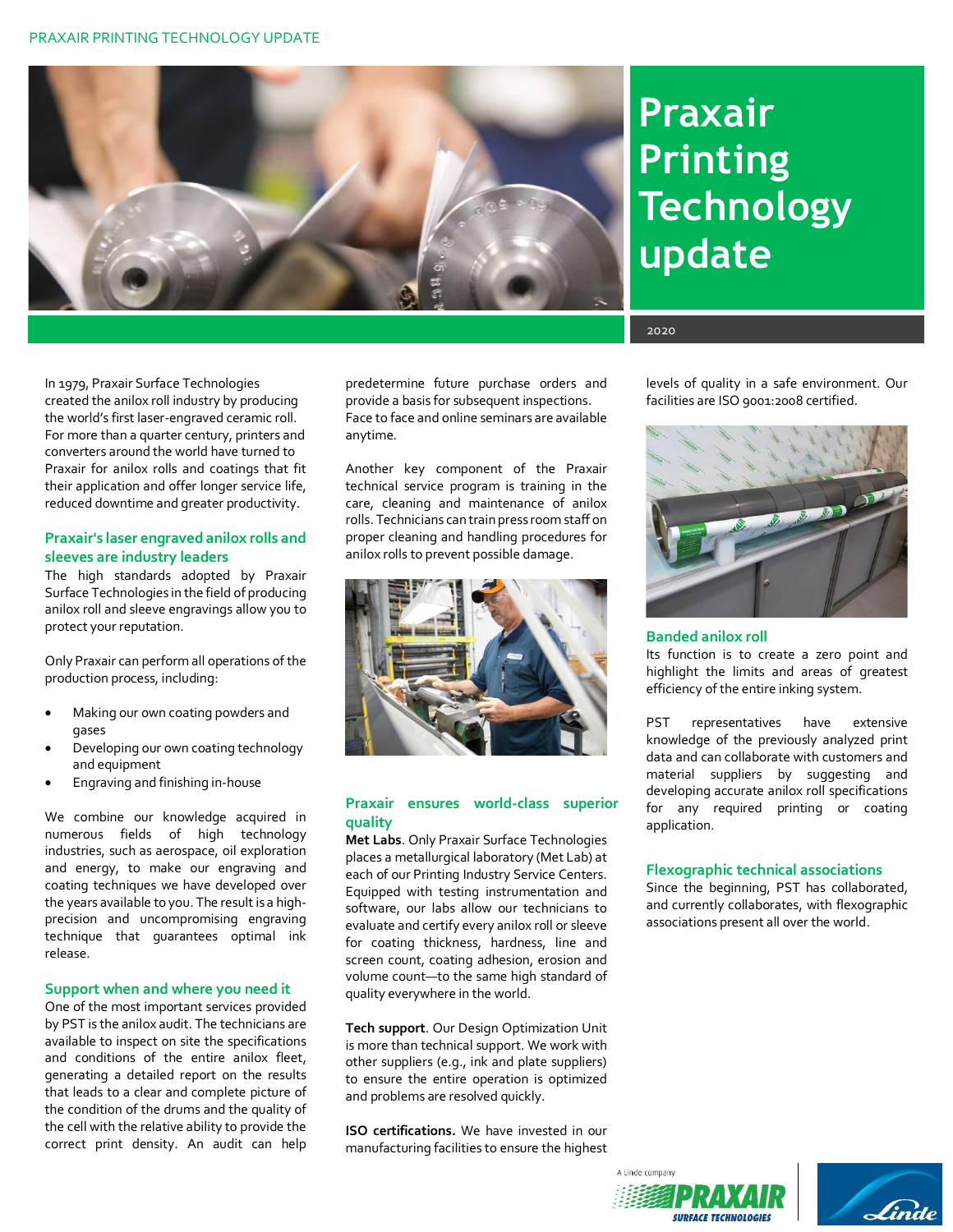

# **Praxair Printing Technology update**

 2020

In 1979, Praxair Surface Technologies created the anilox roll industry by producing the world's first laser-engraved ceramic roll. For more than a quarter century, printers and converters around the world have turned to Praxair for anilox rolls and coatings that fit their application and offer longer service life, reduced downtime and greater productivity.

#### **Praxair's laser engraved anilox rolls and sleeves are industry leaders**

The high standards adopted by Praxair Surface Technologies in the field of producing anilox roll and sleeve engravings allow you to protect your reputation.

Only Praxair can perform all operations of the production process, including:

- Making our own coating powders and gases
- Developing our own coating technology and equipment
- Engraving and finishing in-house

We combine our knowledge acquired in numerous fields of high technology industries, such as aerospace, oil exploration and energy, to make our engraving and coating techniques we have developed over the years available to you. The result is a highprecision and uncompromising engraving technique that guarantees optimal ink release.

#### **Support when and where you need it**

One of the most important services provided by PST is the anilox audit. The technicians are available to inspect on site the specifications and conditions of the entire anilox fleet, generating a detailed report on the results that leads to a clear and complete picture of the condition of the drums and the quality of the cell with the relative ability to provide the correct print density. An audit can help predetermine future purchase orders and provide a basis for subsequent inspections. Face to face and online seminars are available anytime.

Another key component of the Praxair technical service program is training in the care, cleaning and maintenance of anilox rolls. Technicians can train press room staff on proper cleaning and handling procedures for anilox rolls to prevent possible damage.



#### **Praxair ensures world-class superior quality**

**Met Labs**. Only Praxair Surface Technologies places a metallurgical laboratory (Met Lab) at each of our Printing Industry Service Centers. Equipped with testing instrumentation and software, our labs allow our technicians to evaluate and certify every anilox roll or sleeve for coating thickness, hardness, line and screen count, coating adhesion, erosion and volume count—to the same high standard of quality everywhere in the world.

**Tech support**. Our Design Optimization Unit is more than technical support. We work with other suppliers (e.g., ink and plate suppliers) to ensure the entire operation is optimized and problems are resolved quickly.

**ISO certifications.** We have invested in our manufacturing facilities to ensure the highest levels of quality in a safe environment. Our facilities are ISO 9001:2008 certified.



#### **Banded anilox roll**

Its function is to create a zero point and highlight the limits and areas of greatest efficiency of the entire inking system.

PST representatives have extensive knowledge of the previously analyzed print data and can collaborate with customers and material suppliers by suggesting and developing accurate anilox roll specifications for any required printing or coating application.

#### **Flexographic technical associations**

Since the beginning, PST has collaborated, and currently collaborates, with flexographic associations present all over the world.



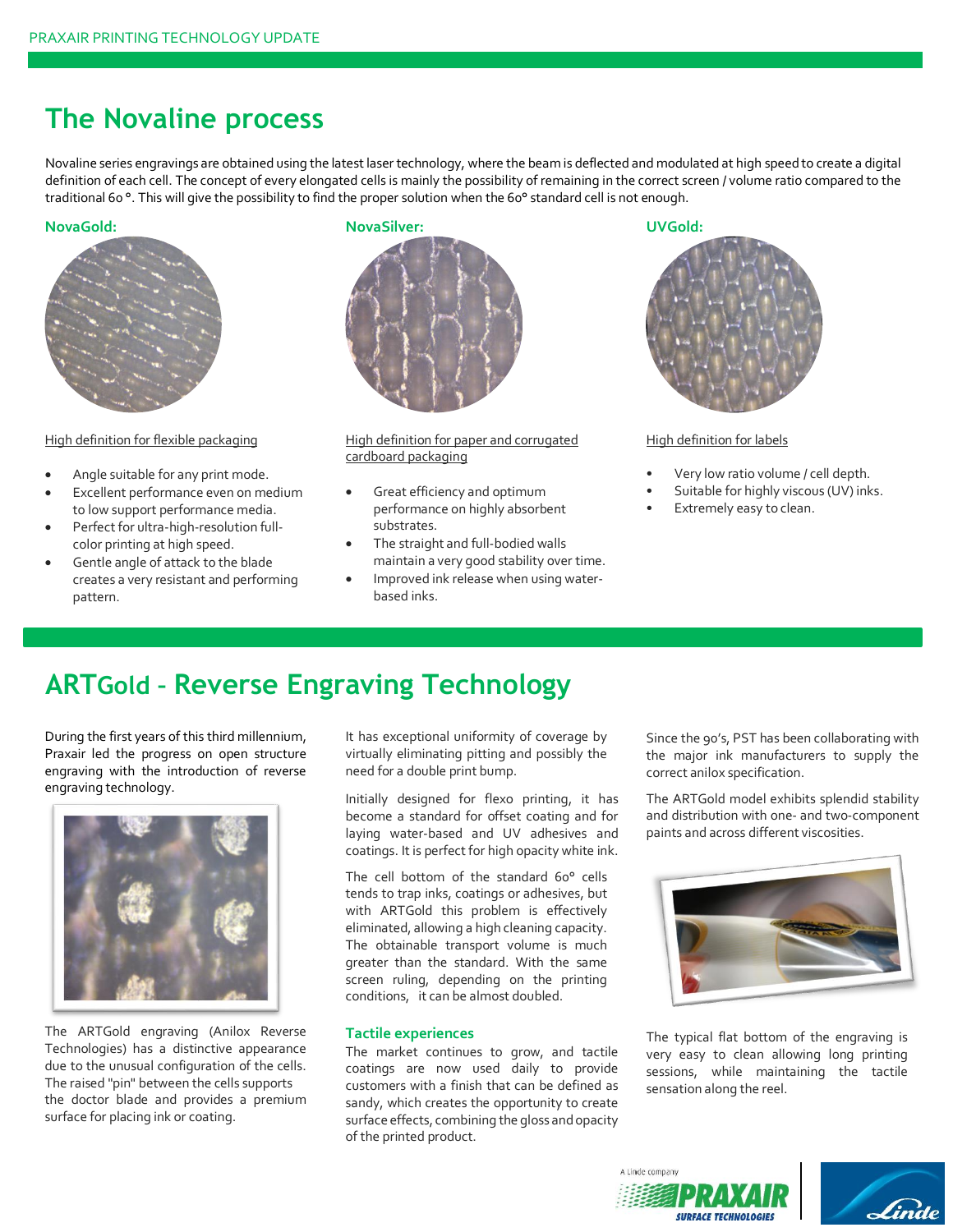# **The Novaline process**

Novaline series engravings are obtained using the latest laser technology, where the beam is deflected and modulated at high speed to create a digital definition of each cell. The concept of every elongated cells is mainly the possibility of remaining in the correct screen / volume ratio compared to the traditional 60 °. This will give the possibility to find the proper solution when the 60° standard cell is not enough.

#### **NovaGold:**



#### High definition for flexible packaging

- Angle suitable for any print mode.
- Excellent performance even on medium to low support performance media.
- Perfect for ultra-high-resolution fullcolor printing at high speed.
- Gentle angle of attack to the blade creates a very resistant and performing pattern.



#### High definition for paper and corrugated cardboard packaging

- Great efficiency and optimum performance on highly absorbent substrates.
- The straight and full-bodied walls maintain a very good stability over time.
- Improved ink release when using waterbased inks.





#### High definition for labels

- Very low ratio volume / cell depth.
- Suitable for highly viscous (UV) inks.
- Extremely easy to clean.

# **ARTGold** *–* **Reverse Engraving Technology**

During the first years of this third millennium, Praxair led the progress on open structure engraving with the introduction of reverse engraving technology.



The ARTGold engraving (Anilox Reverse Technologies) has a distinctive appearance due to the unusual configuration of the cells. The raised "pin" between the cells supports the doctor blade and provides a premium surface for placing ink or coating.

It has exceptional uniformity of coverage by virtually eliminating pitting and possibly the need for a double print bump.

Initially designed for flexo printing, it has become a standard for offset coating and for laying water-based and UV adhesives and coatings. It is perfect for high opacity white ink.

The cell bottom of the standard 60° cells tends to trap inks, coatings or adhesives, but with ARTGold this problem is effectively eliminated, allowing a high cleaning capacity. The obtainable transport volume is much greater than the standard. With the same screen ruling, depending on the printing conditions, it can be almost doubled.

#### **Tactile experiences**

The market continues to grow, and tactile coatings are now used daily to provide customers with a finish that can be defined as sandy, which creates the opportunity to create surface effects, combining the gloss and opacity of the printed product.

Since the 90's, PST has been collaborating with the major ink manufacturers to supply the correct anilox specification.

The ARTGold model exhibits splendid stability and distribution with one- and two-component paints and across different viscosities.



The typical flat bottom of the engraving is very easy to clean allowing long printing sessions, while maintaining the tactile sensation along the reel.



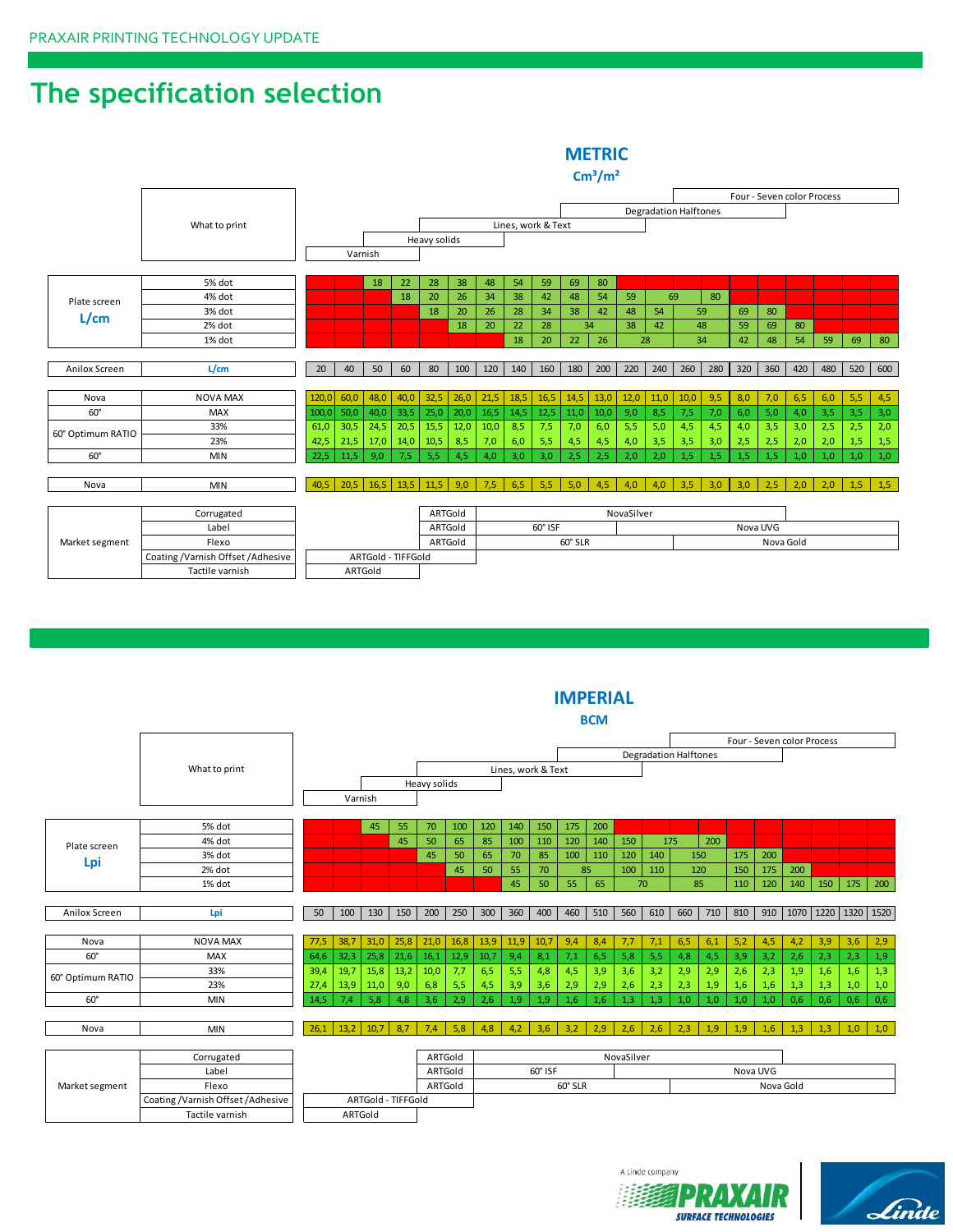# **The specification selection**

|                   |                                   |       |      |         |                    |              |         |            |      |                    |         | <b>METRIC</b><br>$\text{cm}^3/\text{m}^2$ |      |      |                              |     |                            |           |     |     |     |     |
|-------------------|-----------------------------------|-------|------|---------|--------------------|--------------|---------|------------|------|--------------------|---------|-------------------------------------------|------|------|------------------------------|-----|----------------------------|-----------|-----|-----|-----|-----|
|                   |                                   |       |      |         |                    |              |         |            |      |                    |         |                                           |      |      |                              |     | Four - Seven color Process |           |     |     |     |     |
|                   |                                   |       |      |         |                    |              |         |            |      |                    |         |                                           |      |      | <b>Degradation Halftones</b> |     |                            |           |     |     |     |     |
|                   | What to print                     |       |      |         |                    |              |         |            |      | Lines, work & Text |         |                                           |      |      |                              |     |                            |           |     |     |     |     |
|                   |                                   |       |      |         |                    | Heavy solids |         |            |      |                    |         |                                           |      |      |                              |     |                            |           |     |     |     |     |
|                   |                                   |       |      | Varnish |                    |              |         |            |      |                    |         |                                           |      |      |                              |     |                            |           |     |     |     |     |
|                   |                                   |       |      |         |                    |              |         |            |      |                    |         |                                           |      |      |                              |     |                            |           |     |     |     |     |
|                   | 5% dot                            |       |      | 18      | 22                 | 28           | 38      | 48         | 54   | 59                 | 69      | 80                                        |      |      |                              |     |                            |           |     |     |     |     |
| Plate screen      | 4% dot                            |       |      |         | 18                 | 20           | 26      | 34         | 38   | 42                 | 48      | 54                                        | 59   |      | 69                           | 80  |                            |           |     |     |     |     |
| L/cm              | 3% dot                            |       |      |         |                    | 18           | 20      | 26         | 28   | 34                 | 38      | 42                                        | 48   | 54   |                              | 59  | 69                         | 80        |     |     |     |     |
|                   | 2% dot                            |       |      |         |                    |              | 18      | 20         | 22   | 28                 |         | 34                                        | 38   | 42   | 48                           |     | 59                         | 69        | 80  |     |     |     |
|                   | 1% dot                            |       |      |         |                    |              |         |            | 18   | 20                 | 22      | 26                                        |      | 28   |                              | 34  | 42                         | 48        | 54  | 59  | 69  | 80  |
| Anilox Screen     | L/cm                              | 20    | 40   | 50      | 60                 | 80           | 100     | 120        | 140  | 160                | 180     | 200                                       | 220  | 240  | 260                          | 280 | 320                        | 360       | 420 | 480 | 520 | 600 |
|                   |                                   |       |      |         |                    |              |         |            |      |                    |         |                                           |      |      |                              |     |                            |           |     |     |     |     |
| Nova              | <b>NOVA MAX</b>                   | 120,0 | 60,0 | 48,0    | 40,0               | 32,5         | 26,0    | 21,5       | 18,5 | 16,5               | 14,5    | 13,0                                      | 12,0 | 11,0 | 10,0                         | 9,5 | 8,0                        | 7,0       | 6,5 | 6,0 | 5,5 | 4,5 |
| $60^\circ$        | <b>MAX</b>                        | 100,0 | 50,0 | 40,0    | 33,5               | 25,0         | 20,0    | 16,5       | 14,5 | 12,5               | 11,0    | 10,0                                      | 9,0  | 8,5  | 7,5                          | 7,0 | 6,0                        | 5,0       | 4,0 | 3,5 | 3,5 | 3,0 |
|                   | 33%                               | 61,0  | 30,5 | 24,5    | 20,5               | 15,5         | 12,0    | 10,0       | 8,5  | 7,5                | 7,0     | 6,0                                       | 5,5  | 5,0  | 4,5                          | 4,5 | 4,0                        | 3,5       | 3,0 | 2,5 | 2,5 | 2,0 |
| 60° Optimum RATIO | 23%                               | 42,5  | 21,5 | 17,0    | 14,0               | 10,5         | 8,5     | 7,0        | 6,0  | 5,5                | 4,5     | 4,5                                       | 4,0  | 3,5  | 3,5                          | 3,0 | 2,5                        | 2,5       | 2,0 | 2,0 | 1,5 | 1,5 |
| $60^\circ$        | <b>MIN</b>                        | 22,5  | 11,5 | 9,0     | 7,5                | 5,5          | 4,5     | 4,0        | 3,0  | 3,0                | 2,5     | 2,5                                       | 2,0  | 2,0  | 1,5                          | 1,5 | 1,5                        | 1,5       | 1,0 | 1,0 | 1,0 | 1,0 |
|                   |                                   |       |      |         |                    |              |         |            |      |                    |         |                                           |      |      |                              |     |                            |           |     |     |     |     |
| Nova              | <b>MIN</b>                        | 40,5  | 20,5 | 16,5    | 13,5               | 11.5         | 9,0     | 7,5        | 6,5  | 5,5                | 5,0     | 4,5                                       | 4,0  | 4,0  | 3,5                          | 3,0 | 3,0                        | 2,5       | 2,0 | 2,0 | 1,5 | 1,5 |
|                   |                                   |       |      |         |                    |              |         |            |      |                    |         |                                           |      |      |                              |     |                            |           |     |     |     |     |
|                   | Corrugated                        |       |      |         |                    |              | ARTGold | NovaSilver |      |                    |         |                                           |      |      |                              |     |                            |           |     |     |     |     |
|                   | Label                             |       |      |         |                    |              | ARTGold |            |      | 60° ISF            |         |                                           |      |      |                              |     |                            | Nova UVG  |     |     |     |     |
| Market segment    | Flexo                             |       |      |         |                    |              | ARTGold |            |      |                    | 60° SLR |                                           |      |      |                              |     |                            | Nova Gold |     |     |     |     |
|                   | Coating /Varnish Offset /Adhesive |       |      |         | ARTGold - TIFFGold |              |         |            |      |                    |         |                                           |      |      |                              |     |                            |           |     |     |     |     |
|                   | Tactile varnish                   |       |      | ARTGold |                    |              |         |            |      |                    |         |                                           |      |      |                              |     |                            |           |     |     |     |     |

|                   |                 |      |         |      |      |              |      |      |      |                    |     | <b>BCM</b> |     |                              |     |     |     |                            |      |      |     |           |  |
|-------------------|-----------------|------|---------|------|------|--------------|------|------|------|--------------------|-----|------------|-----|------------------------------|-----|-----|-----|----------------------------|------|------|-----|-----------|--|
|                   |                 |      |         |      |      |              |      |      |      |                    |     |            |     |                              |     |     |     | Four - Seven color Process |      |      |     |           |  |
|                   |                 |      |         |      |      |              |      |      |      |                    |     |            |     | <b>Degradation Halftones</b> |     |     |     |                            |      |      |     |           |  |
|                   | What to print   |      |         |      |      |              |      |      |      | Lines, work & Text |     |            |     |                              |     |     |     |                            |      |      |     |           |  |
|                   |                 |      |         |      |      | Heavy solids |      |      |      |                    |     |            |     |                              |     |     |     |                            |      |      |     |           |  |
|                   |                 |      | Varnish |      |      |              |      |      |      |                    |     |            |     |                              |     |     |     |                            |      |      |     |           |  |
|                   |                 |      |         |      |      |              |      |      |      |                    |     |            |     |                              |     |     |     |                            |      |      |     |           |  |
|                   | 5% dot          |      |         | 45   | 55   | 70           | 100  | 120  | 140  | 150                | 175 | 200        |     |                              |     |     |     |                            |      |      |     |           |  |
| Plate screen      | 4% dot          |      |         |      | 45   | 50           | 65   | 85   | 100  | 110                | 120 | 140        | 150 | 175                          |     | 200 |     |                            |      |      |     |           |  |
| Lpi               | 3% dot          |      |         |      |      | 45           | 50   | 65   | 70   | 85                 | 100 | 110        | 120 | 140                          | 150 |     | 175 | 200                        |      |      |     |           |  |
|                   | $2%$ dot        |      |         |      |      |              | 45   | 50   | 55   | 70                 |     | 85         | 100 | 120<br>110                   |     | 150 | 175 | 200                        |      |      |     |           |  |
|                   | 1% dot          |      |         |      |      |              |      |      | 45   | 50                 | 55  | 65         |     | 70                           | 85  |     | 110 | 120                        | 140  | 150  | 175 | 200       |  |
|                   |                 |      |         |      |      |              |      |      |      |                    |     |            |     |                              |     |     |     |                            |      |      |     |           |  |
| Anilox Screen     | Lpi             | 50   | 100     | 130  | 150  | 200          | 250  | 300  | 360  | 400                | 460 | 510        | 560 | 610                          | 660 | 710 | 810 | 910                        | 1070 | 1220 |     | 1320 1520 |  |
|                   |                 |      |         |      |      |              |      |      |      |                    |     |            |     |                              |     |     |     |                            |      |      |     |           |  |
| Nova              | <b>NOVA MAX</b> | 77,5 | 38,7    | 31,0 | 25,8 | 21,0         | 16,8 | 13,9 | 11,9 | 10,7               | 9,4 | 8,4        | 7,7 | 7,1                          | 6,5 | 6,1 | 5,2 | 4,5                        | 4,2  | 3,9  | 3,6 | 2,9       |  |
| $60^\circ$        | <b>MAX</b>      | 64,6 | 32,3    | 25,8 | 21,6 | 16.1         | 12,9 | 10.7 | 9,4  | 8,1                | 7.1 | 6,5        | 5,8 | 5,5                          | 4,8 | 4,5 | 3,9 | 3,2                        | 2,6  | 2,3  | 2,3 | 1,9       |  |
|                   | 33%             | 39.4 | 19.7    | 15,8 | 13,2 | 10,0         | 7,7  | 6,5  | 5,5  | 4,8                | 4,5 | 3,9        | 3,6 | 3,2                          | 2,9 | 2,9 | 2,6 | 2,3                        | 1,9  | 1,6  | 1,6 | 1,3       |  |
| 60° Optimum RATIO | 23%             | 27,4 | 13,9    | 11,0 | 9,0  | 6,8          | 5,5  | 4,5  | 3,9  | 3,6                | 2,9 | 2,9        | 2,6 | 2,3                          | 2,3 | 1,9 | 1,6 | 1,6                        | 1,3  | 1,3  | 1,0 | 1,0       |  |
| $60^\circ$        | <b>MIN</b>      | 14,5 | 7,4     | 5,8  | 4,8  | 3,6          | 2,9  | 2,6  | 1,9  | 1,9                | 1,6 | 1,6        | 1,3 | 1,3                          | 1,0 | 1,0 | 1,0 | 1,0                        | 0,6  | 0,6  | 0,6 | 0,6       |  |
|                   |                 |      |         |      |      |              |      |      |      |                    |     |            |     |                              |     |     |     |                            |      |      |     |           |  |
| Nova              | <b>MIN</b>      | 26,1 | 13,2    | 10,7 | 8,7  | 7,4          | 5,8  | 4,8  | 4,2  | 3,6                | 3,2 | 2,9        | 2,6 | 2,6                          | 2,3 | 1,9 | 1,9 | 1,6                        | 1,3  | 1,3  | 1,0 | 1,0       |  |

**IMPERIAL** 

|                | Corrugated                          |                    | ARTGold |         | NovaSilver |           |  |
|----------------|-------------------------------------|--------------------|---------|---------|------------|-----------|--|
| Market segment | Label                               |                    | ARTGold | 60° ISF |            | Nova UVG  |  |
|                | Flexo                               |                    | ARTGold | 60° SLR |            | Nova Gold |  |
|                | Coating / Varnish Offset / Adhesive | ARTGold - TIFFGold |         |         |            |           |  |
|                | Tactile varnish                     | ARTGold            |         |         |            |           |  |



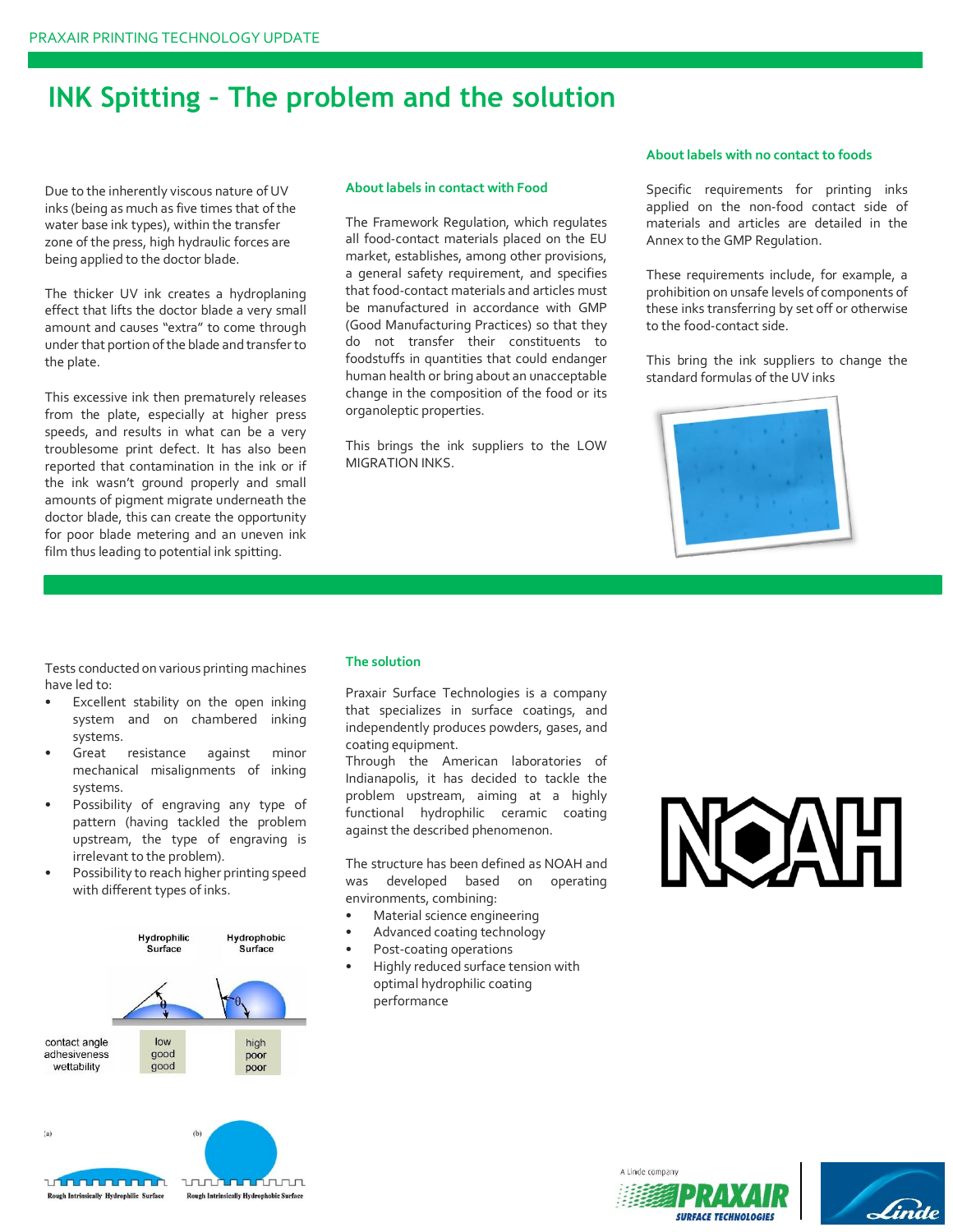# **INK Spitting – The problem and the solution**

Due to the inherently viscous nature of UV inks (being as much as five times that of the water base ink types), within the transfer zone of the press, high hydraulic forces are being applied to the doctor blade.

The thicker UV ink creates a hydroplaning effect that lifts the doctor blade a very small amount and causes "extra" to come through under that portion of the blade and transfer to the plate.

This excessive ink then prematurely releases from the plate, especially at higher press speeds, and results in what can be a very troublesome print defect. It has also been reported that contamination in the ink or if the ink wasn't ground properly and small amounts of pigment migrate underneath the doctor blade, this can create the opportunity for poor blade metering and an uneven ink film thus leading to potential ink spitting.

#### **About labels in contact with Food**

The Framework Regulation, which regulates all food-contact materials placed on the EU market, establishes, among other provisions, a general safety requirement, and specifies that food-contact materials and articles must be manufactured in accordance with GMP (Good Manufacturing Practices) so that they do not transfer their constituents to foodstuffs in quantities that could endanger human health or bring about an unacceptable change in the composition of the food or its organoleptic properties.

This brings the ink suppliers to the LOW MIGRATION INKS.

#### **About labels with no contact to foods**

Specific requirements for printing inks applied on the non-food contact side of materials and articles are detailed in the Annex to the GMP Regulation.

These requirements include, for example, a prohibition on unsafe levels of components of these inks transferring by set off or otherwise to the food-contact side.

This bring the ink suppliers to change the standard formulas of the UV inks



Tests conducted on various printing machines have led to:

- Excellent stability on the open inking system and on chambered inking systems.
- Great resistance against minor mechanical misalignments of inking systems.
- Possibility of engraving any type of pattern (having tackled the problem upstream, the type of engraving is irrelevant to the problem).
- Possibility to reach higher printing speed with different types of inks.



 $(h)$ wwwww wu**uun**nn Rough Intrinsically Hydrophilic Surface **Rough Intrinsically Hydrophobic Surface** 

 $(a)$ 

#### **The solution**

Praxair Surface Technologies is a company that specializes in surface coatings, and independently produces powders, gases, and coating equipment.

Through the American laboratories of Indianapolis, it has decided to tackle the problem upstream, aiming at a highly functional hydrophilic ceramic coating against the described phenomenon.

The structure has been defined as NOAH and was developed based on operating environments, combining:

- Material science engineering
- Advanced coating technology
- Post-coating operations
- Highly reduced surface tension with optimal hydrophilic coating performance

# INGYAHI



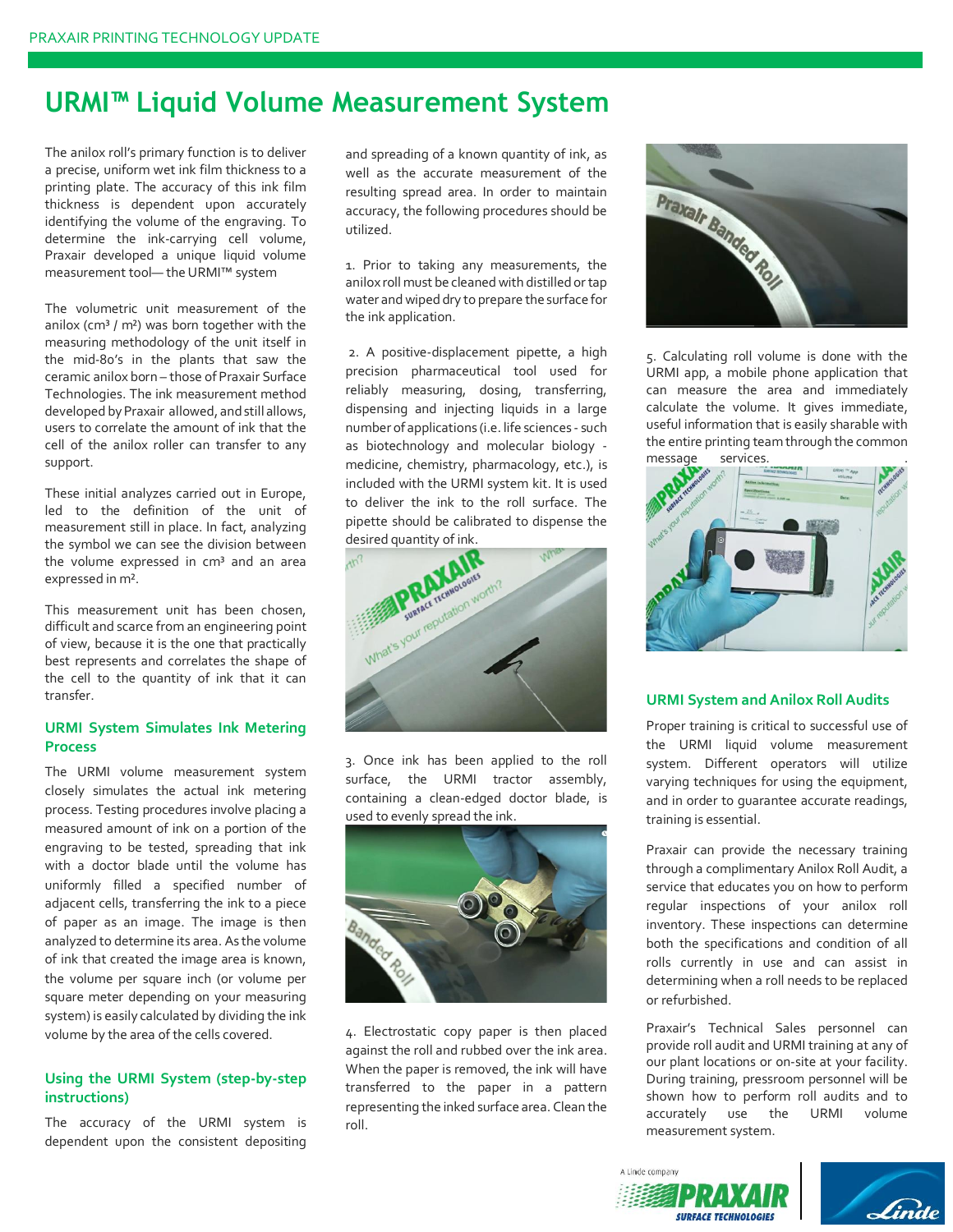# **URMI™ Liquid Volume Measurement System**

The anilox roll's primary function is to deliver a precise, uniform wet ink film thickness to a printing plate. The accuracy of this ink film thickness is dependent upon accurately identifying the volume of the engraving. To determine the ink-carrying cell volume, Praxair developed a unique liquid volume measurement tool— the URMI™ system

The volumetric unit measurement of the anilox ( $cm<sup>3</sup>$  /  $m<sup>2</sup>$ ) was born together with the measuring methodology of the unit itself in the mid-80's in the plants that saw the ceramic anilox born – those of Praxair Surface Technologies. The ink measurement method developed by Praxair allowed, and still allows, users to correlate the amount of ink that the cell of the anilox roller can transfer to any support.

These initial analyzes carried out in Europe, led to the definition of the unit of measurement still in place. In fact, analyzing the symbol we can see the division between the volume expressed in cm<sup>3</sup> and an area expressed in m².

This measurement unit has been chosen, difficult and scarce from an engineering point of view, because it is the one that practically best represents and correlates the shape of the cell to the quantity of ink that it can transfer.

#### **URMI System Simulates Ink Metering Process**

The URMI volume measurement system closely simulates the actual ink metering process. Testing procedures involve placing a measured amount of ink on a portion of the engraving to be tested, spreading that ink with a doctor blade until the volume has uniformly filled a specified number of adjacent cells, transferring the ink to a piece of paper as an image. The image is then analyzed to determine its area. As the volume of ink that created the image area is known, the volume per square inch (or volume per square meter depending on your measuring system) is easily calculated by dividing the ink volume by the area of the cells covered.

#### **Using the URMI System (step-by-step instructions)**

The accuracy of the URMI system is dependent upon the consistent depositing and spreading of a known quantity of ink, as well as the accurate measurement of the resulting spread area. In order to maintain accuracy, the following procedures should be utilized.

1. Prior to taking any measurements, the anilox roll must be cleaned with distilled or tap water and wiped dry to prepare the surface for the ink application.

2. A positive-displacement pipette, a high precision pharmaceutical tool used for reliably measuring, dosing, transferring, dispensing and injecting liquids in a large number of applications (i.e. life sciences - such as biotechnology and molecular biology medicine, chemistry, pharmacology, etc.), is included with the URMI system kit. It is used to deliver the ink to the roll surface. The pipette should be calibrated to dispense the desired quantity of ink.



3. Once ink has been applied to the roll surface, the URMI tractor assembly, containing a clean-edged doctor blade, is used to evenly spread the ink.



4. Electrostatic copy paper is then placed against the roll and rubbed over the ink area. When the paper is removed, the ink will have transferred to the paper in a pattern representing the inked surface area. Clean the roll.



5. Calculating roll volume is done with the URMI app, a mobile phone application that can measure the area and immediately calculate the volume. It gives immediate, useful information that is easily sharable with the entire printing team through the common message services.



#### **URMI System and Anilox Roll Audits**

Proper training is critical to successful use of the URMI liquid volume measurement system. Different operators will utilize varying techniques for using the equipment, and in order to guarantee accurate readings, training is essential.

Praxair can provide the necessary training through a complimentary Anilox Roll Audit, a service that educates you on how to perform regular inspections of your anilox roll inventory. These inspections can determine both the specifications and condition of all rolls currently in use and can assist in determining when a roll needs to be replaced or refurbished.

Praxair's Technical Sales personnel can provide roll audit and URMI training at any of our plant locations or on-site at your facility. During training, pressroom personnel will be shown how to perform roll audits and to<br>accurately use the URMI volume URMI volume measurement system.



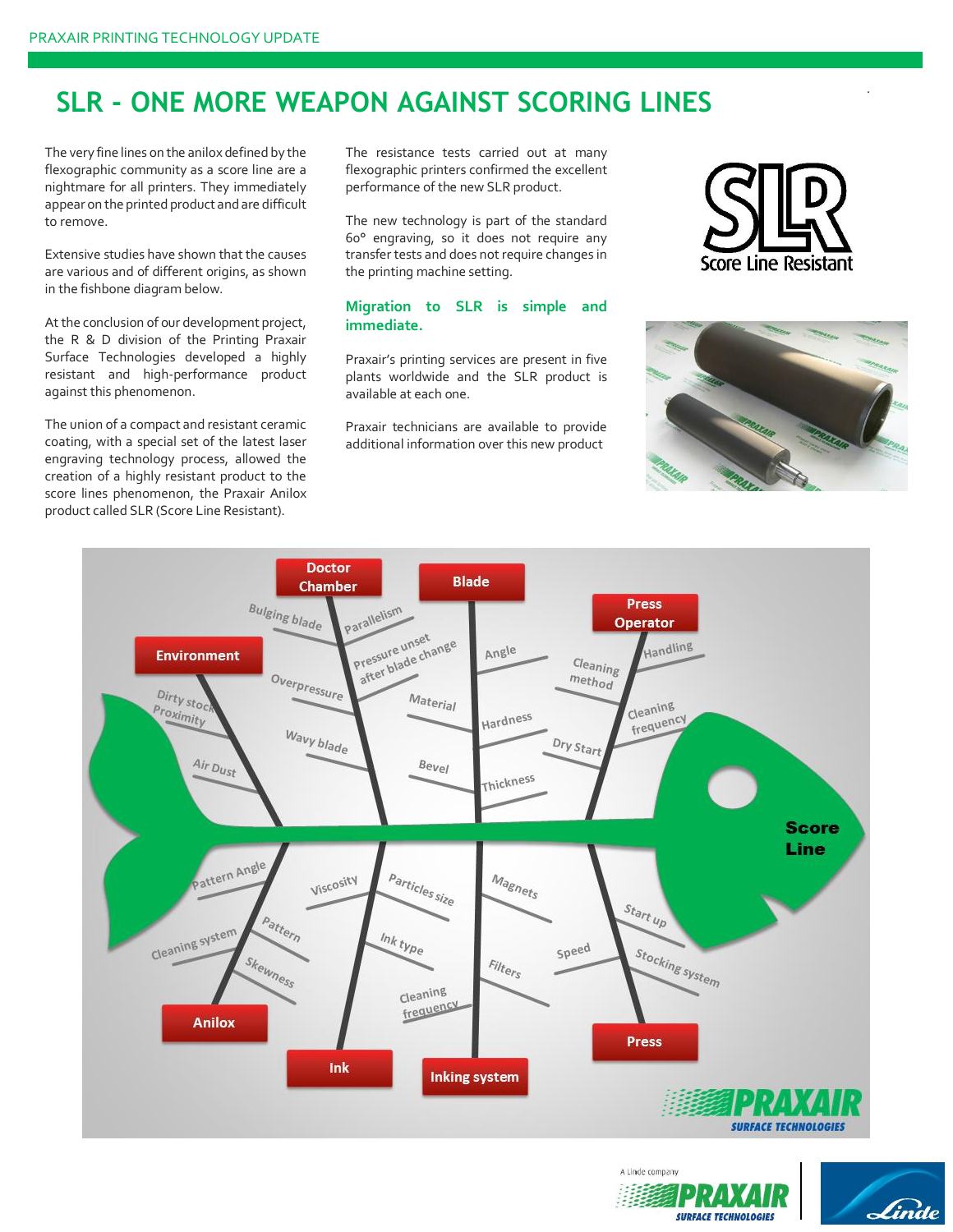# **SLR - ONE MORE WEAPON AGAINST SCORING LINES**

The very fine lines on the anilox defined by the flexographic community as a score line are a nightmare for all printers. They immediately appear on the printed product and are difficult to remove.

Extensive studies have shown that the causes are various and of different origins, as shown in the fishbone diagram below.

At the conclusion of our development project, the R & D division of the Printing Praxair Surface Technologies developed a highly resistant and high-performance product against this phenomenon.

The union of a compact and resistant ceramic coating, with a special set of the latest laser engraving technology process, allowed the creation of a highly resistant product to the score lines phenomenon, the Praxair Anilox product called SLR (Score Line Resistant).

The resistance tests carried out at many flexographic printers confirmed the excellent performance of the new SLR product.

The new technology is part of the standard 60° engraving, so it does not require any transfer tests and does not require changes in the printing machine setting.

#### **Migration to SLR is simple and immediate.**

Praxair's printing services are present in five plants worldwide and the SLR product is available at each one.

Praxair technicians are available to provide additional information over this new product



.







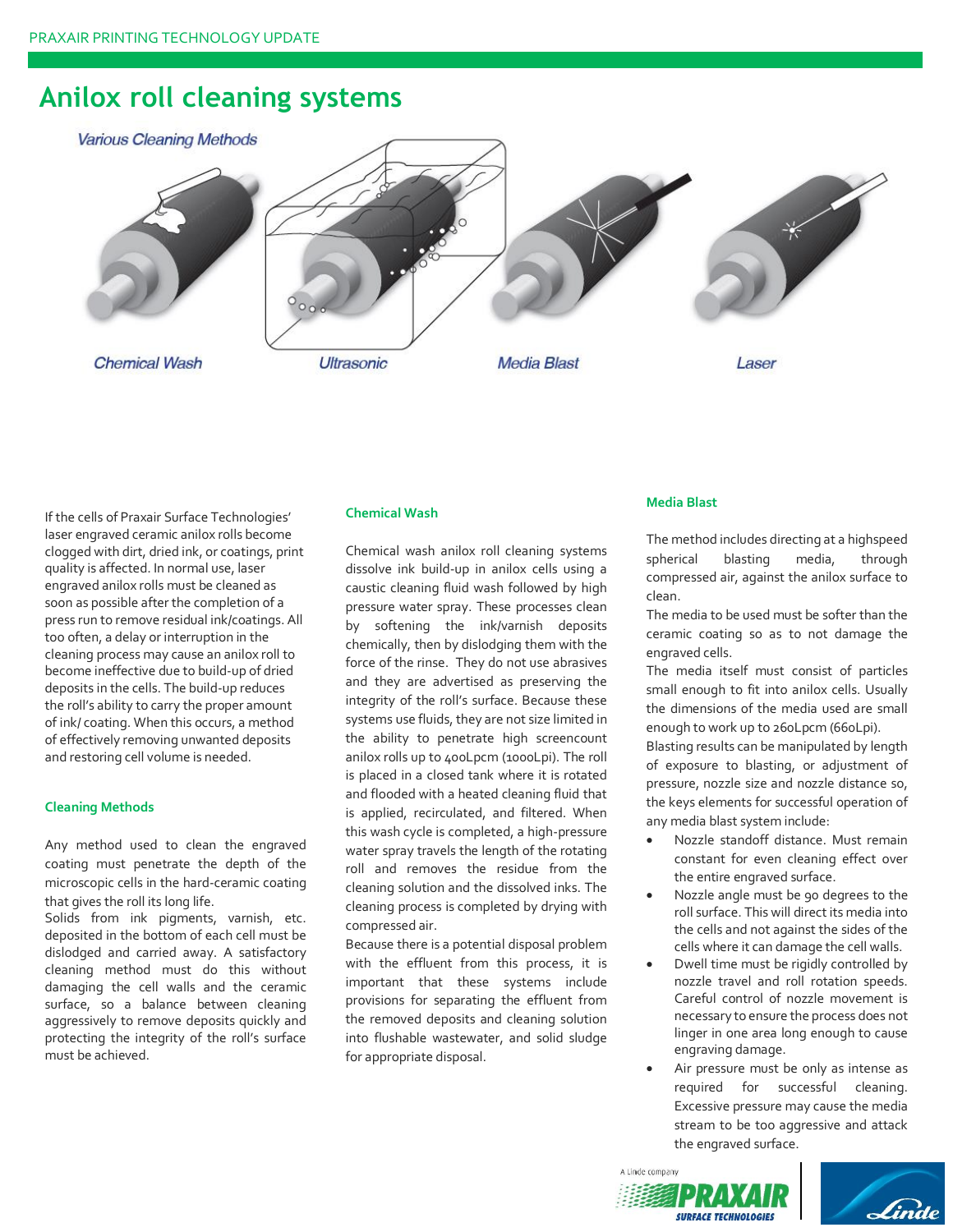### **Anilox roll cleaning systems**



If the cells of Praxair Surface Technologies' laser engraved ceramic anilox rolls become clogged with dirt, dried ink, or coatings, print quality is affected. In normal use, laser engraved anilox rolls must be cleaned as soon as possible after the completion of a press run to remove residual ink/coatings. All too often, a delay or interruption in the cleaning process may cause an anilox roll to become ineffective due to build-up of dried deposits in the cells. The build-up reduces the roll's ability to carry the proper amount of ink/ coating. When this occurs, a method of effectively removing unwanted deposits and restoring cell volume is needed.

#### **Cleaning Methods**

Any method used to clean the engraved coating must penetrate the depth of the microscopic cells in the hard-ceramic coating that gives the roll its long life.

Solids from ink pigments, varnish, etc. deposited in the bottom of each cell must be dislodged and carried away. A satisfactory cleaning method must do this without damaging the cell walls and the ceramic surface, so a balance between cleaning aggressively to remove deposits quickly and protecting the integrity of the roll's surface must be achieved.

#### **Chemical Wash**

Chemical wash anilox roll cleaning systems dissolve ink build-up in anilox cells using a caustic cleaning fluid wash followed by high pressure water spray. These processes clean by softening the ink/varnish deposits chemically, then by dislodging them with the force of the rinse. They do not use abrasives and they are advertised as preserving the integrity of the roll's surface. Because these systems use fluids, they are not size limited in the ability to penetrate high screencount anilox rolls up to 400Lpcm (1000Lpi). The roll is placed in a closed tank where it is rotated and flooded with a heated cleaning fluid that is applied, recirculated, and filtered. When this wash cycle is completed, a high-pressure water spray travels the length of the rotating roll and removes the residue from the cleaning solution and the dissolved inks. The cleaning process is completed by drying with compressed air.

Because there is a potential disposal problem with the effluent from this process, it is important that these systems include provisions for separating the effluent from the removed deposits and cleaning solution into flushable wastewater, and solid sludge for appropriate disposal.

#### **Media Blast**

The method includes directing at a highspeed spherical blasting media, through compressed air, against the anilox surface to clean.

The media to be used must be softer than the ceramic coating so as to not damage the engraved cells.

The media itself must consist of particles small enough to fit into anilox cells. Usually the dimensions of the media used are small enough to work up to 260Lpcm (660Lpi).

Blasting results can be manipulated by length of exposure to blasting, or adjustment of pressure, nozzle size and nozzle distance so, the keys elements for successful operation of any media blast system include:

- Nozzle standoff distance. Must remain constant for even cleaning effect over the entire engraved surface.
- Nozzle angle must be 90 degrees to the roll surface. This will direct its media into the cells and not against the sides of the cells where it can damage the cell walls.
- Dwell time must be rigidly controlled by nozzle travel and roll rotation speeds. Careful control of nozzle movement is necessary to ensure the process does not linger in one area long enough to cause engraving damage.
- Air pressure must be only as intense as required for successful cleaning. Excessive pressure may cause the media stream to be too aggressive and attack the engraved surface.